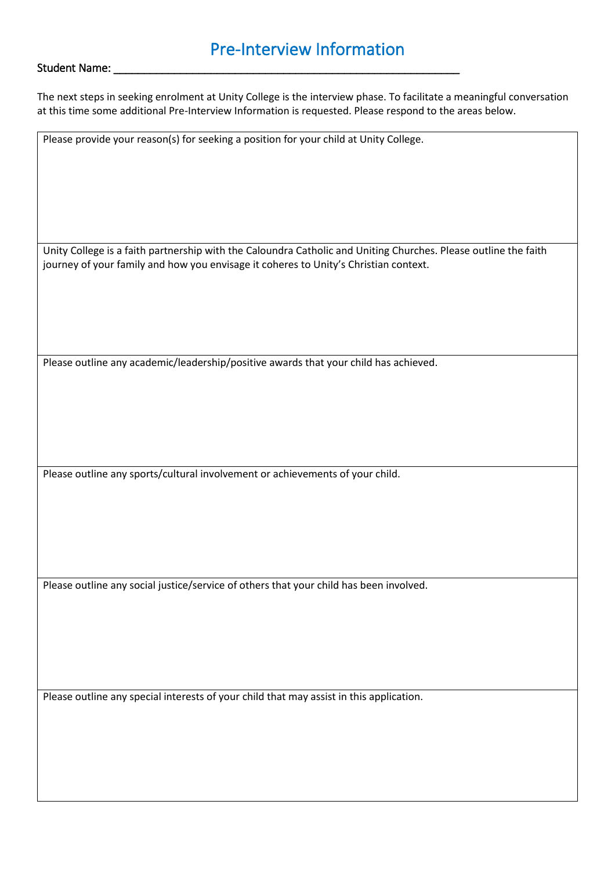## Pre-Interview Information

#### Student Name:

The next steps in seeking enrolment at Unity College is the interview phase. To facilitate a meaningful conversation at this time some additional Pre-Interview Information is requested. Please respond to the areas below.

Please provide your reason(s) for seeking a position for your child at Unity College.

Unity College is a faith partnership with the Caloundra Catholic and Uniting Churches. Please outline the faith journey of your family and how you envisage it coheres to Unity's Christian context.

Please outline any academic/leadership/positive awards that your child has achieved.

Please outline any sports/cultural involvement or achievements of your child.

Please outline any social justice/service of others that your child has been involved.

Please outline any special interests of your child that may assist in this application.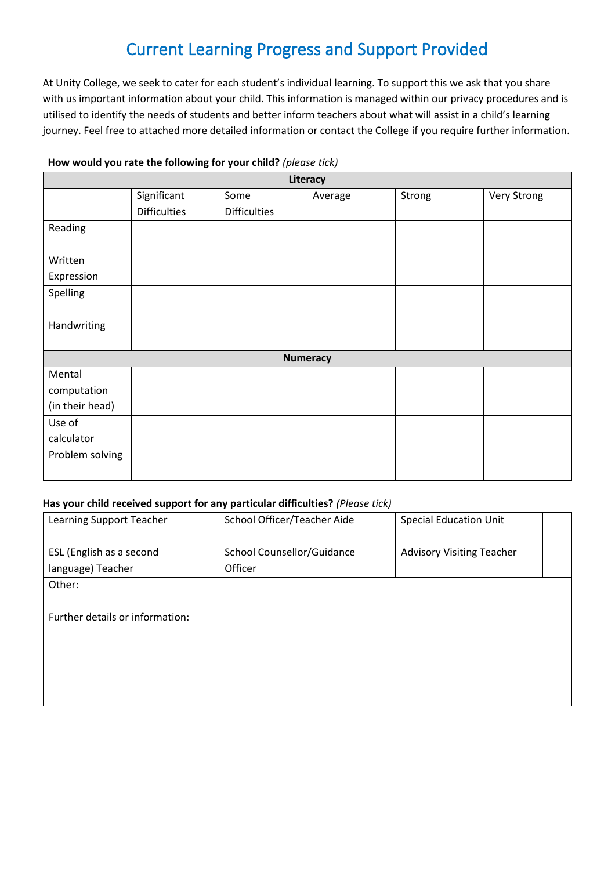# Current Learning Progress and Support Provided

At Unity College, we seek to cater for each student's individual learning. To support this we ask that you share with us important information about your child. This information is managed within our privacy procedures and is utilised to identify the needs of students and better inform teachers about what will assist in a child's learning journey. Feel free to attached more detailed information or contact the College if you require further information.

| Literacy        |                     |                     |         |        |             |  |  |
|-----------------|---------------------|---------------------|---------|--------|-------------|--|--|
|                 | Significant         | Some                | Average | Strong | Very Strong |  |  |
|                 | <b>Difficulties</b> | <b>Difficulties</b> |         |        |             |  |  |
| Reading         |                     |                     |         |        |             |  |  |
|                 |                     |                     |         |        |             |  |  |
| Written         |                     |                     |         |        |             |  |  |
| Expression      |                     |                     |         |        |             |  |  |
| Spelling        |                     |                     |         |        |             |  |  |
|                 |                     |                     |         |        |             |  |  |
| Handwriting     |                     |                     |         |        |             |  |  |
|                 |                     |                     |         |        |             |  |  |
| <b>Numeracy</b> |                     |                     |         |        |             |  |  |
| Mental          |                     |                     |         |        |             |  |  |
| computation     |                     |                     |         |        |             |  |  |
| (in their head) |                     |                     |         |        |             |  |  |
| Use of          |                     |                     |         |        |             |  |  |
| calculator      |                     |                     |         |        |             |  |  |
| Problem solving |                     |                     |         |        |             |  |  |
|                 |                     |                     |         |        |             |  |  |

### **How would you rate the following for your child?** *(please tick)*

#### **Has your child received support for any particular difficulties?** *(Please tick)*

| Learning Support Teacher        |  | School Officer/Teacher Aide |  | <b>Special Education Unit</b>    |  |  |  |
|---------------------------------|--|-----------------------------|--|----------------------------------|--|--|--|
| ESL (English as a second        |  | School Counsellor/Guidance  |  | <b>Advisory Visiting Teacher</b> |  |  |  |
| language) Teacher               |  | Officer                     |  |                                  |  |  |  |
| Other:                          |  |                             |  |                                  |  |  |  |
|                                 |  |                             |  |                                  |  |  |  |
| Further details or information: |  |                             |  |                                  |  |  |  |
|                                 |  |                             |  |                                  |  |  |  |
|                                 |  |                             |  |                                  |  |  |  |
|                                 |  |                             |  |                                  |  |  |  |
|                                 |  |                             |  |                                  |  |  |  |
|                                 |  |                             |  |                                  |  |  |  |